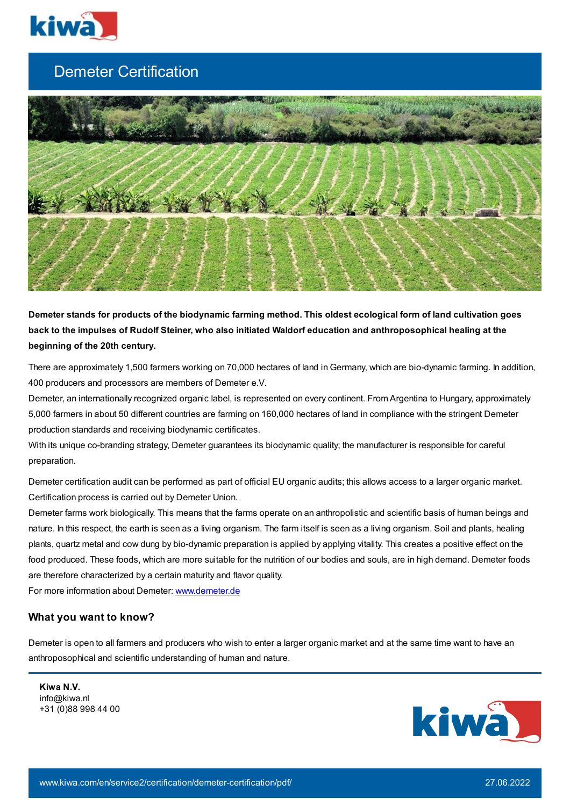

## Demeter Certification



Demeter stands for products of the biodynamic farming method. This oldest ecological form of land cultivation goes back to the impulses of Rudolf Steiner, who also initiated Waldorf education and anthroposophical healing at the **beginning of the 20th century.**

There are approximately 1,500 farmers working on 70,000 hectares of land in Germany, which are bio-dynamic farming. In addition, 400 producers and processors are members of Demeter e.V.

Demeter, an internationally recognized organic label, is represented on every continent. From Argentina to Hungary, approximately 5,000 farmers in about 50 different countries are farming on 160,000 hectares of land in compliance with the stringent Demeter production standards and receiving biodynamic certificates.

With its unique co-branding strategy, Demeter guarantees its biodynamic quality; the manufacturer is responsible for careful preparation.

Demeter certification audit can be performed as part of official EU organic audits; this allows access to a larger organic market. Certification process is carried out by Demeter Union.

Demeter farms work biologically. This means that the farms operate on an anthropolistic and scientific basis of human beings and nature. In this respect, the earth is seen as a living organism. The farm itself is seen as a living organism. Soil and plants, healing plants, quartz metal and cow dung by bio-dynamic preparation is applied by applying vitality. This creates a positive effect on the food produced. These foods, which are more suitable for the nutrition of our bodies and souls, are in high demand. Demeter foods are therefore characterized by a certain maturity and flavor quality.

For more information about Demeter: [www.demeter.de](http://www.demeter.de/)

## **What you want to know?**

Demeter is open to all farmers and producers who wish to enter a larger organic market and at the same time want to have an anthroposophical and scientific understanding of human and nature.

**Kiwa N.V.** info@kiwa.nl +31 (0)88 998 44 00